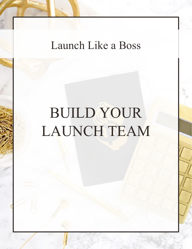# Launch Like a Boss

# BUILD YOUR LAUNCH TEAM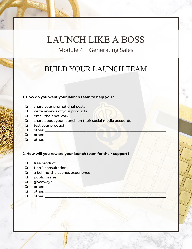### LAUNCH LIKE A BOSS Module 4 | Generating Sales

#### BUILD YOUR LAUNCH TEAM

#### **1. How do you want your launch team to help you?**

- ❏ share your promotional posts
- ❏ write reviews of your products
- ❏ email their network
- ❏ share about your launch on their social media accounts
- ❏ test your product
- $\Box$  other:
- $\Box$  other:
- $\Box$  other:

#### **2. How will you reward your launch team for their support?**

- ❏ free product
- ❏ 1-on-1 consultation
- ❏ a behind-the-scenes experience
- ❏ public praise
- ❏ giveaways
- $\Box$  other:
- ❏ other: \_\_\_\_\_\_\_\_\_\_\_\_\_\_\_\_\_\_\_\_\_\_\_\_\_\_\_\_\_\_\_\_\_\_\_\_\_\_\_\_\_\_\_\_\_\_\_\_\_\_\_\_\_\_\_\_\_\_\_\_\_\_\_\_\_\_\_\_\_\_
- ❏ other: \_\_\_\_\_\_\_\_\_\_\_\_\_\_\_\_\_\_\_\_\_\_\_\_\_\_\_\_\_\_\_\_\_\_\_\_\_\_\_\_\_\_\_\_\_\_\_\_\_\_\_\_\_\_\_\_\_\_\_\_\_\_\_\_\_\_\_\_\_\_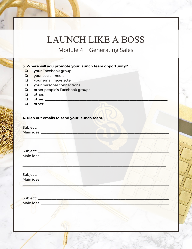### **LAUNCH LIKE A BOSS** Module 4 | Generating Sales

3. Where will you promote your launch team opportunity?

- your Facebook group  $\Box$
- $\Box$ your social media
- $\Box$ your email newsletter
- $\Box$ your personal connections
- other people's Facebook groups  $\Box$
- $\Box$
- $\Box$ other:  $\rule{1em}{0.15mm}$
- other: \_\_\_\_\_  $\Box$

#### 4. Plan out emails to send your launch team.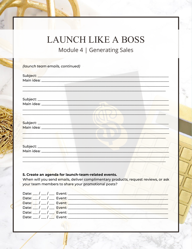# **LAUNCH LIKE A BOSS**

Module 4 | Generating Sales

| (launch team emails, continued) |  |
|---------------------------------|--|
|                                 |  |
|                                 |  |
|                                 |  |
|                                 |  |
|                                 |  |
|                                 |  |
|                                 |  |
|                                 |  |
|                                 |  |
|                                 |  |
|                                 |  |
|                                 |  |
|                                 |  |
|                                 |  |
|                                 |  |
|                                 |  |
|                                 |  |
|                                 |  |
|                                 |  |

#### 5. Create an agenda for launch-team-related events.

When will you send emails, deliver complimentary products, request reviews, or ask your team members to share your promotional posts?

| Date: $\angle$ / $\angle$ / $\angle$ Event: $\angle$ Event: $\angle$ 2000 $\angle$ 2000 $\angle$ 2000 $\angle$ 2000 $\angle$ 2000 $\angle$ 2000 $\angle$ 2000 $\angle$ 2000 $\angle$ 2000 $\angle$ 2000 $\angle$ 2000 $\angle$ 2000 $\angle$ 2000 $\angle$ 2000 $\angle$ 2000 $\angle$ 2000 $\angle$ 2000 $\angle$ 20 |
|-----------------------------------------------------------------------------------------------------------------------------------------------------------------------------------------------------------------------------------------------------------------------------------------------------------------------|
| Date: 1/1/2 Event: 2000                                                                                                                                                                                                                                                                                               |
|                                                                                                                                                                                                                                                                                                                       |
|                                                                                                                                                                                                                                                                                                                       |
| Date: $\frac{1}{2}$ / $\frac{1}{2}$ Event: $\frac{1}{2}$ Event:                                                                                                                                                                                                                                                       |
| Date: / / <b>/ <i>V</i></b> Event:                                                                                                                                                                                                                                                                                    |